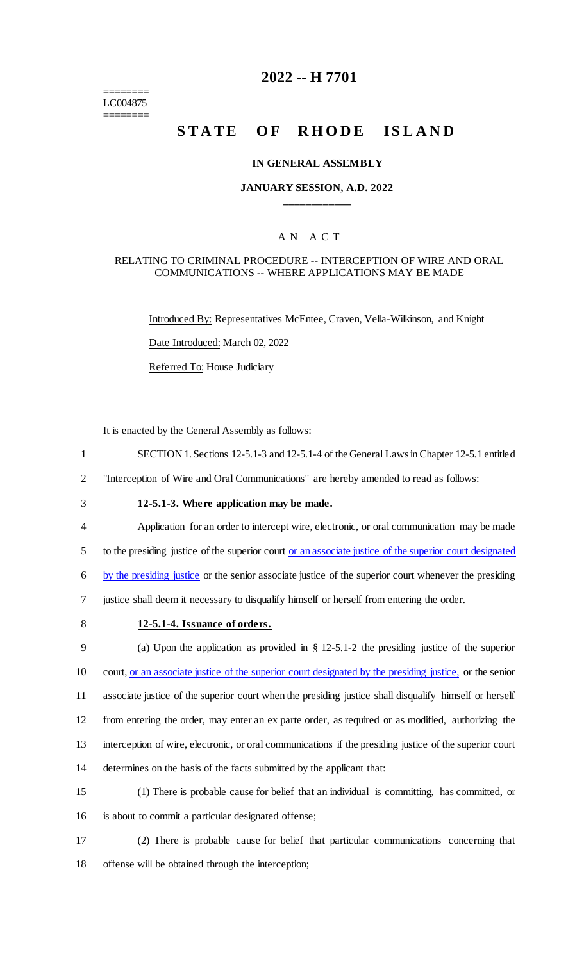======== LC004875 ========

# **2022 -- H 7701**

# **STATE OF RHODE ISLAND**

#### **IN GENERAL ASSEMBLY**

#### **JANUARY SESSION, A.D. 2022 \_\_\_\_\_\_\_\_\_\_\_\_**

### A N A C T

#### RELATING TO CRIMINAL PROCEDURE -- INTERCEPTION OF WIRE AND ORAL COMMUNICATIONS -- WHERE APPLICATIONS MAY BE MADE

Introduced By: Representatives McEntee, Craven, Vella-Wilkinson, and Knight

Date Introduced: March 02, 2022

Referred To: House Judiciary

It is enacted by the General Assembly as follows:

1 SECTION 1. Sections 12-5.1-3 and 12-5.1-4 of the General Laws in Chapter 12-5.1 entitled

2 "Interception of Wire and Oral Communications" are hereby amended to read as follows:

# 3 **12-5.1-3. Where application may be made.**

4 Application for an order to intercept wire, electronic, or oral communication may be made 5 to the presiding justice of the superior court or an associate justice of the superior court designated

6 by the presiding justice or the senior associate justice of the superior court whenever the presiding

7 justice shall deem it necessary to disqualify himself or herself from entering the order.

# 8 **12-5.1-4. Issuance of orders.**

 (a) Upon the application as provided in § 12-5.1-2 the presiding justice of the superior 10 court, <u>or an associate justice of the superior court designated by the presiding justice</u>, or the senior associate justice of the superior court when the presiding justice shall disqualify himself or herself from entering the order, may enter an ex parte order, as required or as modified, authorizing the interception of wire, electronic, or oral communications if the presiding justice of the superior court determines on the basis of the facts submitted by the applicant that:

15 (1) There is probable cause for belief that an individual is committing, has committed, or 16 is about to commit a particular designated offense;

17 (2) There is probable cause for belief that particular communications concerning that 18 offense will be obtained through the interception;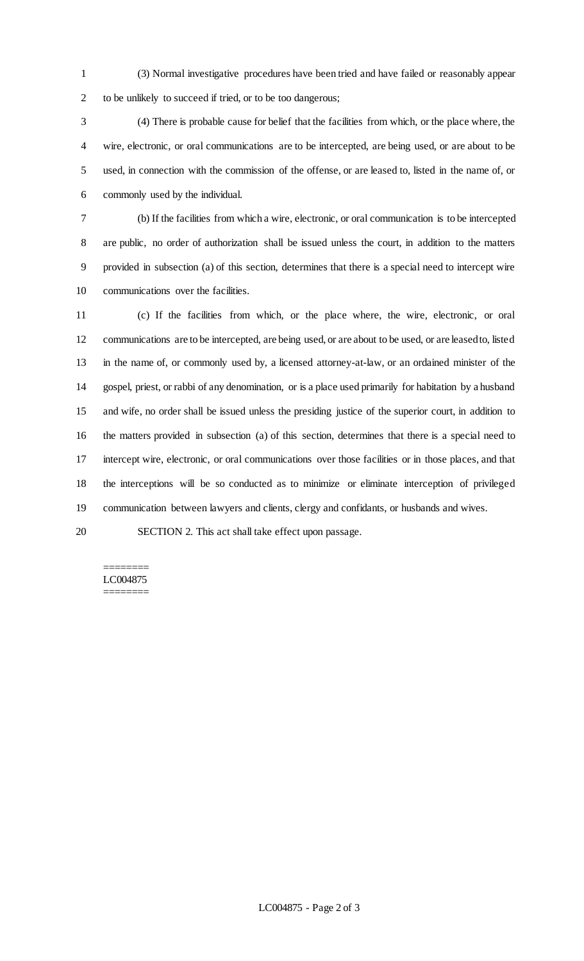(3) Normal investigative procedures have been tried and have failed or reasonably appear to be unlikely to succeed if tried, or to be too dangerous;

 (4) There is probable cause for belief that the facilities from which, or the place where, the wire, electronic, or oral communications are to be intercepted, are being used, or are about to be used, in connection with the commission of the offense, or are leased to, listed in the name of, or commonly used by the individual.

 (b) If the facilities from which a wire, electronic, or oral communication is to be intercepted are public, no order of authorization shall be issued unless the court, in addition to the matters provided in subsection (a) of this section, determines that there is a special need to intercept wire communications over the facilities.

 (c) If the facilities from which, or the place where, the wire, electronic, or oral communications are to be intercepted, are being used, or are about to be used, or are leased to, listed in the name of, or commonly used by, a licensed attorney-at-law, or an ordained minister of the gospel, priest, or rabbi of any denomination, or is a place used primarily for habitation by a husband and wife, no order shall be issued unless the presiding justice of the superior court, in addition to the matters provided in subsection (a) of this section, determines that there is a special need to intercept wire, electronic, or oral communications over those facilities or in those places, and that the interceptions will be so conducted as to minimize or eliminate interception of privileged communication between lawyers and clients, clergy and confidants, or husbands and wives.

SECTION 2. This act shall take effect upon passage.

# ======== LC004875

========